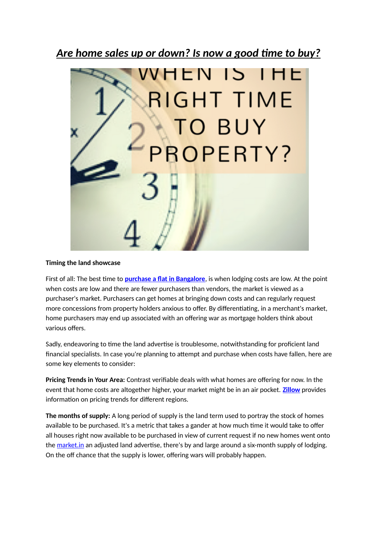## *Are home sales up or down? Is now a good time to buy?*



## **Timing the land showcase**

First of all: The best time to **[purchase a flat in Bangalore](https://www.mantri.in/)**, is when lodging costs are low. At the point when costs are low and there are fewer purchasers than vendors, the market is viewed as a purchaser's market. Purchasers can get homes at bringing down costs and can regularly request more concessions from property holders anxious to offer. By differentiating, in a merchant's market, home purchasers may end up associated with an offering war as mortgage holders think about various offers.

Sadly, endeavoring to time the land advertise is troublesome, notwithstanding for proficient land financial specialists. In case you're planning to attempt and purchase when costs have fallen, here are some key elements to consider:

**Pricing Trends in Your Area:** Contrast verifiable deals with what homes are offering for now. In the event that home costs are altogether higher, your market might be in an air pocket. **[Zillow](https://www.zillow.com/)** provides information on pricing trends for different regions.

**The months of supply:** A long period of supply is the land term used to portray the stock of homes available to be purchased. It's a metric that takes a gander at how much time it would take to offer all houses right now available to be purchased in view of current request if no new homes went onto the [market.in](http://market.In/) an adjusted land advertise, there's by and large around a six-month supply of lodging. On the off chance that the supply is lower, offering wars will probably happen.